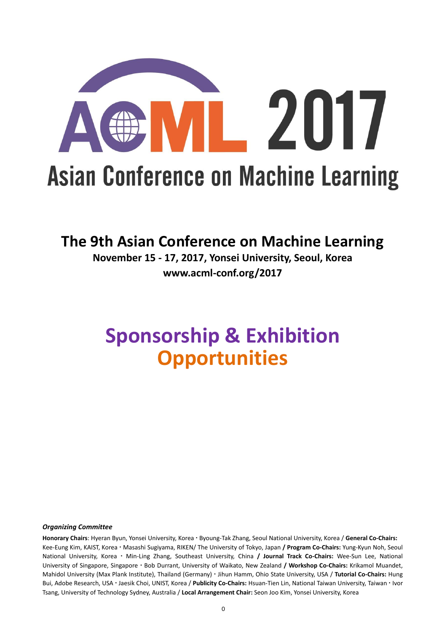

## **The 9th Asian Conference on Machine Learning**

**November 15 - 17, 2017, Yonsei University, Seoul, Korea www.acml-conf.org/2017**

# **Sponsorship & Exhibition Opportunities**

#### *Organizing Committee*

**Honorary Chairs**: Hyeran Byun, Yonsei University, Korea Byoung-Tak Zhang, Seoul National University, Korea / **General Co-Chairs:** Kee-Eung Kim, KAIST, Korea Masashi Sugiyama, RIKEN/ The University of Tokyo, Japan **/ Program Co-Chairs:** Yung-Kyun Noh, Seoul National University, Korea Min-Ling Zhang, Southeast University, China **/ Journal Track Co-Chairs:** Wee-Sun Lee, National University of Singapore, Singapore Bob Durrant, University of Waikato, New Zealand **/ Workshop Co-Chairs:** Krikamol Muandet, Mahidol University (Max Plank Institute), Thailand (Germany) Jihun Hamm, Ohio State University, USA / **Tutorial Co-Chairs:** Hung Bui, Adobe Research, USA Jaesik Choi, UNIST, Korea / **Publicity Co-Chairs:** Hsuan-Tien Lin, National Taiwan University, Taiwan Ivor Tsang, University of Technology Sydney, Australia / **Local Arrangement Chair:** Seon Joo Kim, Yonsei University, Korea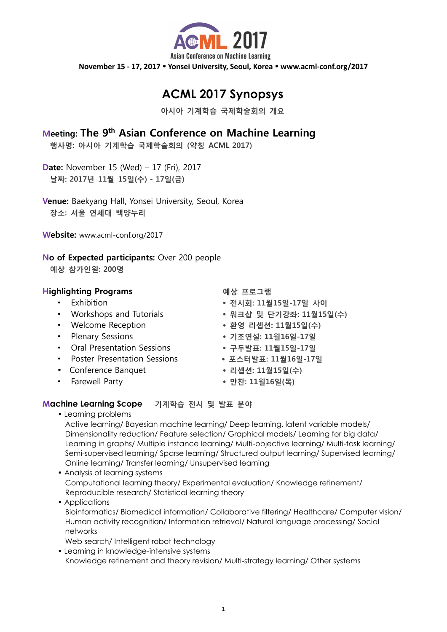

# **ACML 2017 Synopsys**

아시아 기계학습 국제학술회의 개요

### Meeting: The 9th Asian Conference on Machine Learning

행사명: 아시아 기계학습 국제학술회의 (약칭 ACML 2017)

Date: November 15 (Wed) – 17 (Fri), 2017 날짜: 2017년 11월 15일(수) - 17일(금)

Venue: Baekyang Hall, Yonsei University, Seoul, Korea 장소: 서울 연세대 백양누리

Website: www.acml-conf.org/2017

### No of Expected participants: Over 200 people

예상 참가인원: 200명

### Highlighting Programs 예상 프로그램

- 
- 
- 
- 
- Oral Presentation Sessions 구두발표: 11월15일-17일
- Poster Presentation Sessions 포스터발표: 11월16일-17일
- Conference Banquet 리셉션: 11월15일(수)
- 

- Exhibition 전시회: 11월15일-17일 사이
	- Workshops and Tutorials 워크샵 및 단기강좌: 11월15일(수)
- Welcome Reception 후영 리셉션: 11월15일(수)
- Plenary Sessions 기조연설: 11월16일-17일
	-
	-
	-
- Farewell Party 2008 만찬: 11월16일(목)

### **Machine Learning Scope** 기계학습 전시 및 발표 분야

• Learning problems

Active learning/ Bayesian machine learning/ Deep learning, latent variable models/ Dimensionality reduction/ Feature selection/ Graphical models/ Learning for big data/ Learning in graphs/ Multiple instance learning/ Multi-objective learning/ Multi-task learning/ Semi-supervised learning/ Sparse learning/ Structured output learning/ Supervised learning/ Online learning/ Transfer learning/ Unsupervised learning

- Analysis of learning systems Computational learning theory/ Experimental evaluation/ Knowledge refinement/ Reproducible research/ Statistical learning theory
- Applications Bioinformatics/ Biomedical information/ Collaborative filtering/ Healthcare/ Computer vision/ Human activity recognition/ Information retrieval/ Natural language processing/ Social networks

Web search/ Intelligent robot technology

• Learning in knowledge-intensive systems Knowledge refinement and theory revision/ Multi-strategy learning/ Other systems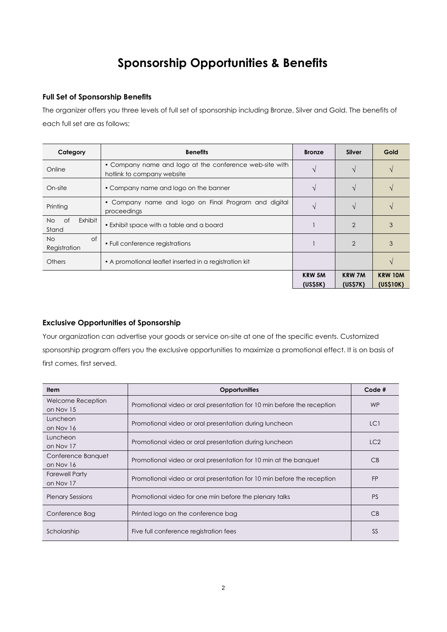# **Sponsorship Opportunities & Benefits**

#### **Full Set of Sponsorship Benefits**

The organizer offers you three levels of full set of sponsorship including Bronze, Silver and Gold. The benefits of each full set are as follows;

| Category                      | <b>Benefits</b>                                                                       | <b>Bronze</b>            | <b>Silver</b>                         | Gold                        |
|-------------------------------|---------------------------------------------------------------------------------------|--------------------------|---------------------------------------|-----------------------------|
| Online                        | • Company name and logo at the conference web-site with<br>hotlink to company website |                          |                                       |                             |
| On-site                       | • Company name and logo on the banner                                                 |                          |                                       |                             |
| Printing                      | Company name and logo on Final Program and digital<br>$\bullet$<br>proceedings        |                          |                                       |                             |
| Exhibit<br>of<br>No.<br>Stand | • Exhibit space with a table and a board                                              |                          | $\overline{2}$                        | 3                           |
| of<br>No.<br>Registration     | • Full conference registrations                                                       |                          | $\overline{2}$                        | 3                           |
| Others                        | • A promotional leaflet inserted in a registration kit                                |                          |                                       |                             |
|                               |                                                                                       | <b>KRW 5M</b><br>(US55K) | <b>KRW 7M</b><br>(US <sub>57K</sub> ) | <b>KRW 10M</b><br>(US\$10K) |

#### **Exclusive Opportunities of Sponsorship**

Your organization can advertise your goods or service on-site at one of the specific events. Customized sponsorship program offers you the exclusive opportunities to maximize a promotional effect. It is on basis of first comes, first served.

| <b>Item</b>                           | <b>Opportunities</b>                                                   | Code <sub>#</sub> |
|---------------------------------------|------------------------------------------------------------------------|-------------------|
| <b>Welcome Reception</b><br>on Nov 15 | Promotional video or oral presentation for 10 min before the reception | <b>WP</b>         |
| Luncheon<br>on Nov 16                 | Promotional video or oral presentation during luncheon                 | LC1               |
| Luncheon<br>on Nov 17                 | Promotional video or oral presentation during luncheon                 | LC2               |
| Conference Banquet<br>on Nov 16       | Promotional video or oral presentation for 10 min at the banquet       | CB                |
| <b>Farewell Party</b><br>on Nov 17    | Promotional video or oral presentation for 10 min before the reception | <b>FP</b>         |
| <b>Plenary Sessions</b>               | Promotional video for one min before the plenary talks                 | <b>PS</b>         |
| Conference Bag                        | Printed logo on the conference bag                                     | CB                |
| Scholarship                           | Five full conference registration fees                                 | <b>SS</b>         |